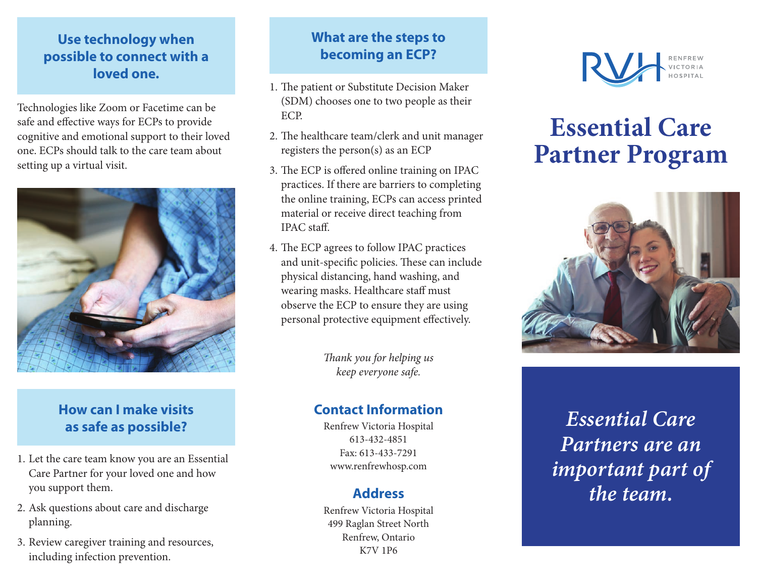## **Use technology when possible to connect with a loved one.**

Technologies like Zoom or Facetime can be safe and effective ways for ECPs to provide cognitive and emotional support to their loved one. ECPs should talk to the care team about setting up a virtual visit.



## **How can I make visits as safe as possible?**

- 1. Let the care team know you are an Essential Care Partner for your loved one and how you support them.
- 2. Ask questions about care and discharge planning.
- 3. Review caregiver training and resources, including infection prevention.

## **What are the steps to becoming an ECP?**

- 1. The patient or Substitute Decision Maker (SDM) chooses one to two people as their ECP.
- 2. The healthcare team/clerk and unit manager registers the person(s) as an ECP
- 3. The ECP is offered online training on IPAC practices. If there are barriers to completing the online training, ECPs can access printed material or receive direct teaching from IPAC staff.
- 4. The ECP agrees to follow IPAC practices and unit-specific policies. These can include physical distancing, hand washing, and wearing masks. Healthcare staff must observe the ECP to ensure they are using personal protective equipment effectively.

*Thank you for helping us keep everyone safe.*

## **Contact Information**

Renfrew Victoria Hospital 613-432-4851 Fax: 613-433-7291 www.renfrewhosp.com

## **Address**

Renfrew Victoria Hospital 499 Raglan Street North Renfrew, Ontario K7V 1P6



## **Essential Care Partner Program**



*Essential Care Partners are an important part of the team.*